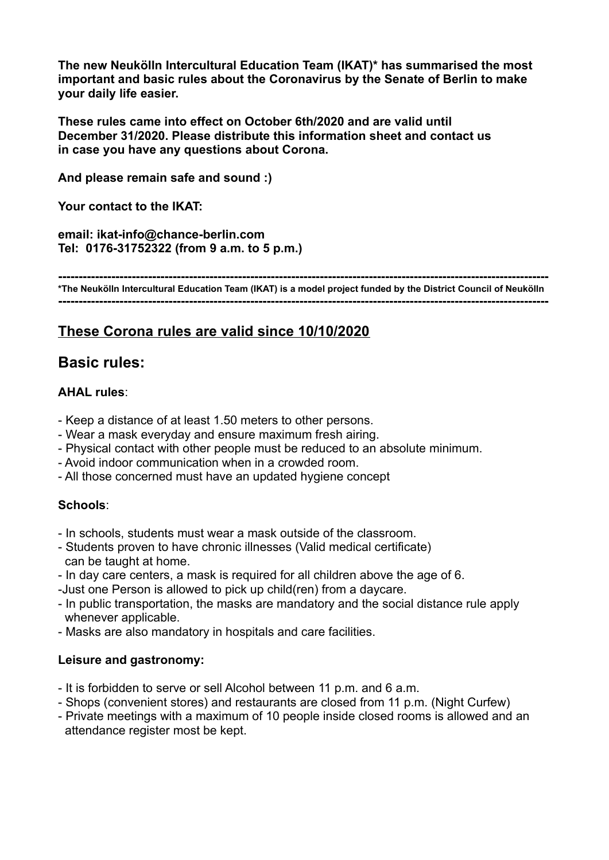**The new Neukölln Intercultural Education Team (IKAT)\* has summarised the most important and basic rules about the Coronavirus by the Senate of Berlin to make your daily life easier.** 

**These rules came into effect on October 6th/2020 and are valid until December 31/2020. Please distribute this information sheet and contact us in case you have any questions about Corona.** 

**And please remain safe and sound :)**

**Your contact to the IKAT:**

**email: ikat-info@chance-berlin.com Tel: 0176-31752322 (from 9 a.m. to 5 p.m.)**

**------------------------------------------------------------------------------------------------------------------------ \*The Neukölln Intercultural Education Team (IKAT) is a model project funded by the District Council of Neukölln ------------------------------------------------------------------------------------------------------------------------**

# **These Corona rules are valid since 10/10/2020**

## **Basic rules:**

### **AHAL rules**:

- Keep a distance of at least 1.50 meters to other persons.
- Wear a mask everyday and ensure maximum fresh airing.
- Physical contact with other people must be reduced to an absolute minimum.
- Avoid indoor communication when in a crowded room.
- All those concerned must have an updated hygiene concept

#### **Schools**:

- In schools, students must wear a mask outside of the classroom.
- Students proven to have chronic illnesses (Valid medical certificate) can be taught at home.
- In day care centers, a mask is required for all children above the age of 6.
- -Just one Person is allowed to pick up child(ren) from a daycare.
- In public transportation, the masks are mandatory and the social distance rule apply whenever applicable.
- Masks are also mandatory in hospitals and care facilities.

#### **Leisure and gastronomy:**

- It is forbidden to serve or sell Alcohol between 11 p.m. and 6 a.m.
- Shops (convenient stores) and restaurants are closed from 11 p.m. (Night Curfew)
- Private meetings with a maximum of 10 people inside closed rooms is allowed and an attendance register most be kept.